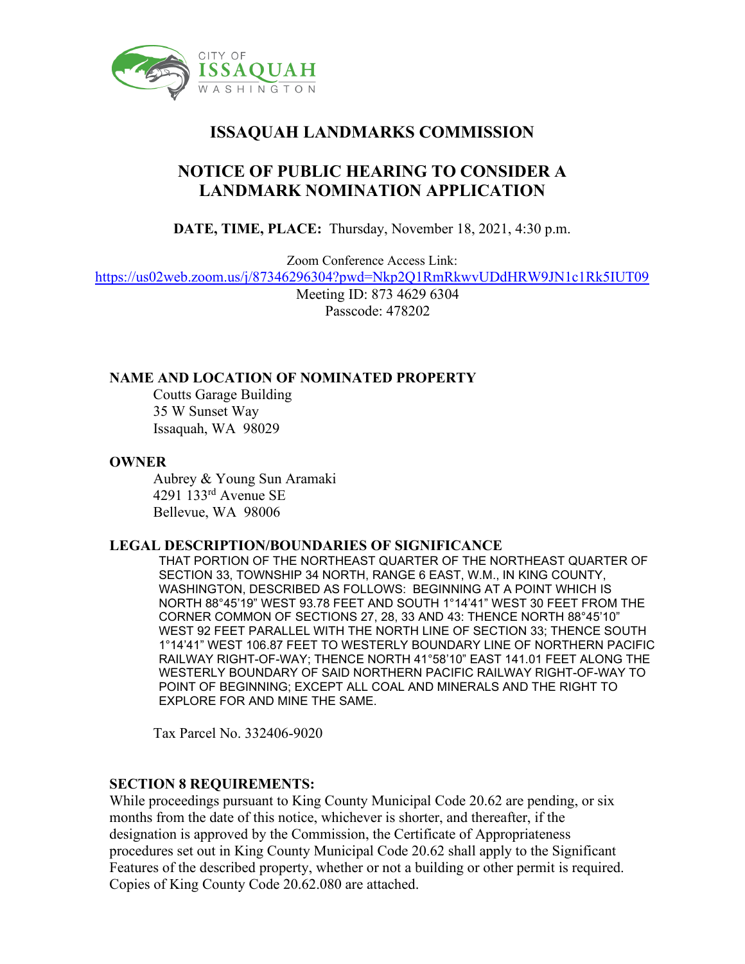

# **ISSAQUAH LANDMARKS COMMISSION**

## **NOTICE OF PUBLIC HEARING TO CONSIDER A LANDMARK NOMINATION APPLICATION**

**DATE, TIME, PLACE:** Thursday, November 18, 2021, 4:30 p.m.

Zoom Conference Access Link:

<https://us02web.zoom.us/j/87346296304?pwd=Nkp2Q1RmRkwvUDdHRW9JN1c1Rk5IUT09>

Meeting ID: 873 4629 6304 Passcode: 478202

#### **NAME AND LOCATION OF NOMINATED PROPERTY**

Coutts Garage Building 35 W Sunset Way Issaquah, WA 98029

#### **OWNER**

Aubrey & Young Sun Aramaki 4291 133rd Avenue SE Bellevue, WA 98006

#### **LEGAL DESCRIPTION/BOUNDARIES OF SIGNIFICANCE**

THAT PORTION OF THE NORTHEAST QUARTER OF THE NORTHEAST QUARTER OF SECTION 33, TOWNSHIP 34 NORTH, RANGE 6 EAST, W.M., IN KING COUNTY, WASHINGTON, DESCRIBED AS FOLLOWS: BEGINNING AT A POINT WHICH IS NORTH 88°45'19" WEST 93.78 FEET AND SOUTH 1°14'41" WEST 30 FEET FROM THE CORNER COMMON OF SECTIONS 27, 28, 33 AND 43: THENCE NORTH 88°45'10" WEST 92 FEET PARALLEL WITH THE NORTH LINE OF SECTION 33; THENCE SOUTH 1°14'41" WEST 106.87 FEET TO WESTERLY BOUNDARY LINE OF NORTHERN PACIFIC RAILWAY RIGHT-OF-WAY; THENCE NORTH 41°58'10" EAST 141.01 FEET ALONG THE WESTERLY BOUNDARY OF SAID NORTHERN PACIFIC RAILWAY RIGHT-OF-WAY TO POINT OF BEGINNING; EXCEPT ALL COAL AND MINERALS AND THE RIGHT TO EXPLORE FOR AND MINE THE SAME.

Tax Parcel No. 332406-9020

#### **SECTION 8 REQUIREMENTS:**

While proceedings pursuant to King County Municipal Code 20.62 are pending, or six months from the date of this notice, whichever is shorter, and thereafter, if the designation is approved by the Commission, the Certificate of Appropriateness procedures set out in King County Municipal Code 20.62 shall apply to the Significant Features of the described property, whether or not a building or other permit is required. Copies of King County Code 20.62.080 are attached.